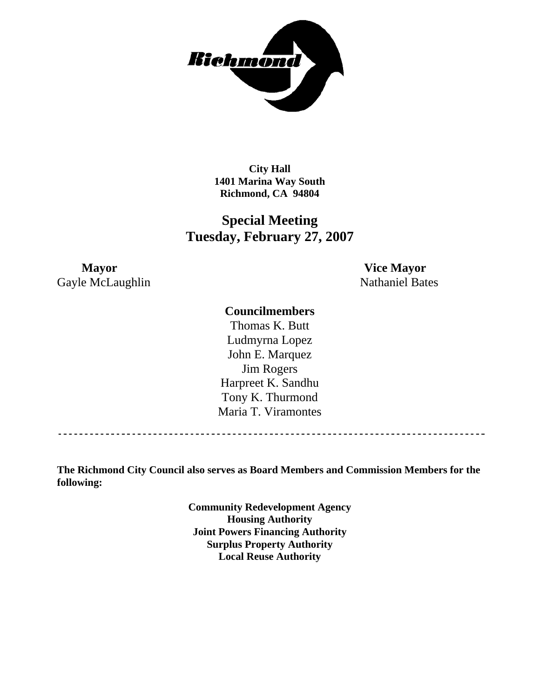

**City Hall 1401 Marina Way South Richmond, CA 94804** 

# **Special Meeting Tuesday, February 27, 2007**

**Mayor Vice Mayor** Gayle McLaughlin Nathaniel Bates

## **Councilmembers**

Harpreet K. Sandhu Tony K. Thurmond Maria T. Viramontes Thomas K. Butt Ludmyrna Lopez John E. Marquez Jim Rogers

------------------------------------------

**The Richmond City Council also serves as Board Members and Commission Members for the following:** 

> **Community Redevelopment Agency Housing Authority Joint Powers Financing Authority Surplus Property Authority Local Reuse Authority**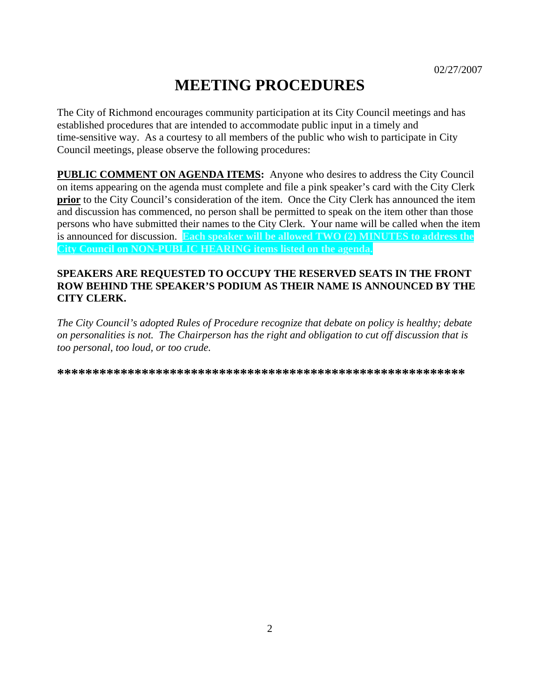# **MEETING PROCEDURES**

The City of Richmond encourages community participation at its City Council meetings and has established procedures that are intended to accommodate public input in a timely and time-sensitive way. As a courtesy to all members of the public who wish to participate in City Council meetings, please observe the following procedures:

**PUBLIC COMMENT ON AGENDA ITEMS:** Anyone who desires to address the City Council on items appearing on the agenda must complete and file a pink speaker's card with the City Clerk **prior** to the City Council's consideration of the item. Once the City Clerk has announced the item and discussion has commenced, no person shall be permitted to speak on the item other than those persons who have submitted their names to the City Clerk. Your name will be called when the item is announced for discussion. **Each speaker will be allowed TWO (2) MINUTES to address the City Council on NON-PUBLIC HEARING items listed on the agenda.** 

#### **SPEAKERS ARE REQUESTED TO OCCUPY THE RESERVED SEATS IN THE FRONT ROW BEHIND THE SPEAKER'S PODIUM AS THEIR NAME IS ANNOUNCED BY THE CITY CLERK.**

*The City Council's adopted Rules of Procedure recognize that debate on policy is healthy; debate on personalities is not. The Chairperson has the right and obligation to cut off discussion that is too personal, too loud, or too crude.* 

**\*\*\*\*\*\*\*\*\*\*\*\*\*\*\*\*\*\*\*\*\*\*\*\*\*\*\*\*\*\*\*\*\*\*\*\*\*\*\*\*\*\*\*\*\*\*\*\*\*\*\*\*\*\*\*\*\*\***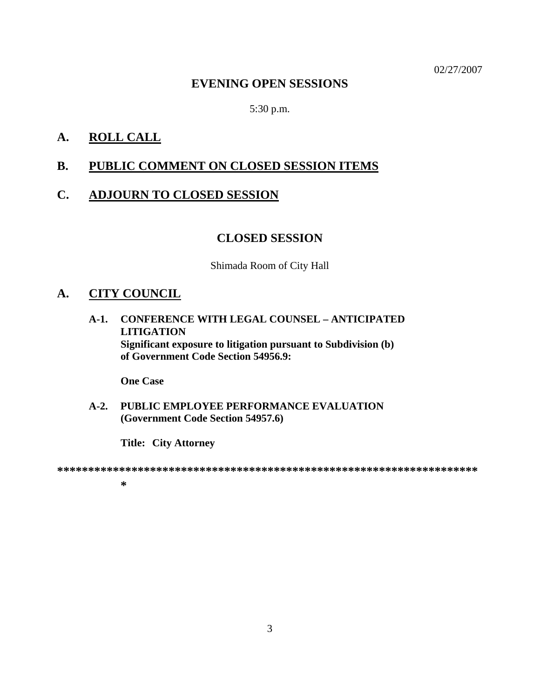02/27/2007

### **EVENING OPEN SESSIONS**

5:30 p.m.

# **A. ROLL CALL**

# **B. PUBLIC COMMENT ON CLOSED SESSION ITEMS**

### **C. ADJOURN TO CLOSED SESSION**

#### **CLOSED SESSION**

Shimada Room of City Hall

# **A. CITY COUNCIL**

**A-1. CONFERENCE WITH LEGAL COUNSEL – ANTICIPATED LITIGATION Significant exposure to litigation pursuant to Subdivision (b) of Government Code Section 54956.9:** 

 **One Case** 

**A-2. PUBLIC EMPLOYEE PERFORMANCE EVALUATION (Government Code Section 54957.6)** 

 **Title: City Attorney** 

**\*\*\*\*\*\*\*\*\*\*\*\*\*\*\*\*\*\*\*\*\*\*\*\*\*\*\*\*\*\*\*\*\*\*\*\*\*\*\*\*\*\*\*\*\*\*\*\*\*\*\*\*\*\*\*\*\*\*\*\*\*\*\*\*\*\*\*\***

**\***